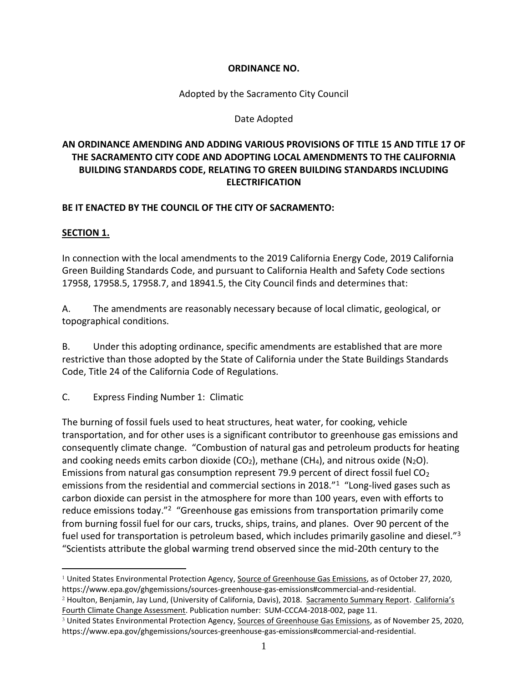### **ORDINANCE NO.**

Adopted by the Sacramento City Council

### Date Adopted

# **AN ORDINANCE AMENDING AND ADDING VARIOUS PROVISIONS OF TITLE 15 AND TITLE 17 OF THE SACRAMENTO CITY CODE AND ADOPTING LOCAL AMENDMENTS TO THE CALIFORNIA BUILDING STANDARDS CODE, RELATING TO GREEN BUILDING STANDARDS INCLUDING ELECTRIFICATION**

### **BE IT ENACTED BY THE COUNCIL OF THE CITY OF SACRAMENTO:**

### **SECTION 1.**

In connection with the local amendments to the 2019 California Energy Code, 2019 California Green Building Standards Code, and pursuant to California Health and Safety Code sections 17958, 17958.5, 17958.7, and 18941.5, the City Council finds and determines that:

A. The amendments are reasonably necessary because of local climatic, geological, or topographical conditions.

B. Under this adopting ordinance, specific amendments are established that are more restrictive than those adopted by the State of California under the State Buildings Standards Code, Title 24 of the California Code of Regulations.

C. Express Finding Number 1: Climatic

The burning of fossil fuels used to heat structures, heat water, for cooking, vehicle transportation, and for other uses is a significant contributor to greenhouse gas emissions and consequently climate change. "Combustion of natural gas and petroleum products for heating and cooking needs emits carbon dioxide (CO<sub>2</sub>), methane (CH<sub>4</sub>), and nitrous oxide (N<sub>2</sub>O). Emissions from natural gas consumption represent 79.9 percent of direct fossil fuel  $CO<sub>2</sub>$ emissions from the residential and commercial sections in 2018."<sup>1</sup> "Long-lived gases such as carbon dioxide can persist in the atmosphere for more than 100 years, even with efforts to reduce emissions today."<sup>2</sup> "Greenhouse gas emissions from transportation primarily come from burning fossil fuel for our cars, trucks, ships, trains, and planes. Over 90 percent of the fuel used for transportation is petroleum based, which includes primarily gasoline and diesel."<sup>3</sup> "Scientists attribute the global warming trend observed since the mid-20th century to the

<sup>1</sup> United States Environmental Protection Agency, Source of Greenhouse Gas Emissions, as of October 27, 2020, https://www.epa.gov/ghgemissions/sources-greenhouse-gas-emissions#commercial-and-residential.

<sup>2</sup> Houlton, Benjamin, Jay Lund, (University of California, Davis), 2018. Sacramento Summary Report. California's Fourth Climate Change Assessment. Publication number: SUM-CCCA4-2018-002, page 11.

<sup>&</sup>lt;sup>3</sup> United States Environmental Protection Agency, Sources of Greenhouse Gas Emissions, as of November 25, 2020, https://www.epa.gov/ghgemissions/sources-greenhouse-gas-emissions#commercial-and-residential.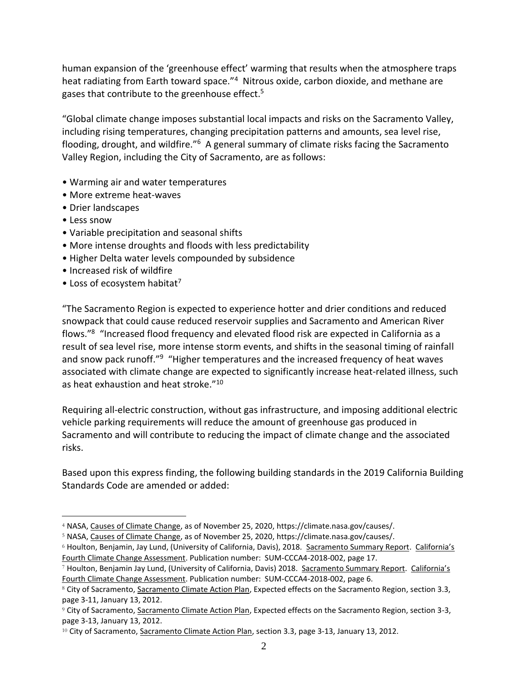human expansion of the 'greenhouse effect' warming that results when the atmosphere traps heat radiating from Earth toward space."<sup>4</sup> Nitrous oxide, carbon dioxide, and methane are gases that contribute to the greenhouse effect.<sup>5</sup>

"Global climate change imposes substantial local impacts and risks on the Sacramento Valley, including rising temperatures, changing precipitation patterns and amounts, sea level rise, flooding, drought, and wildfire."<sup>6</sup> A general summary of climate risks facing the Sacramento Valley Region, including the City of Sacramento, are as follows:

- Warming air and water temperatures
- More extreme heat-waves
- Drier landscapes
- Less snow
- Variable precipitation and seasonal shifts
- More intense droughts and floods with less predictability
- Higher Delta water levels compounded by subsidence
- Increased risk of wildfire
- Loss of ecosystem habitat<sup>7</sup>

"The Sacramento Region is expected to experience hotter and drier conditions and reduced snowpack that could cause reduced reservoir supplies and Sacramento and American River flows."<sup>8</sup> "Increased flood frequency and elevated flood risk are expected in California as a result of sea level rise, more intense storm events, and shifts in the seasonal timing of rainfall and snow pack runoff."<sup>9</sup> "Higher temperatures and the increased frequency of heat waves associated with climate change are expected to significantly increase heat-related illness, such as heat exhaustion and heat stroke."<sup>10</sup>

Requiring all-electric construction, without gas infrastructure, and imposing additional electric vehicle parking requirements will reduce the amount of greenhouse gas produced in Sacramento and will contribute to reducing the impact of climate change and the associated risks.

Based upon this express finding, the following building standards in the 2019 California Building Standards Code are amended or added:

<sup>5</sup> NASA, Causes of Climate Change, as of November 25, 2020, https://climate.nasa.gov/causes/.

<sup>6</sup> Houlton, Benjamin, Jay Lund, (University of California, Davis), 2018. Sacramento Summary Report. California's Fourth Climate Change Assessment. Publication number: SUM-CCCA4-2018-002, page 17.

<sup>4</sup> NASA, Causes of Climate Change, as of November 25, 2020, https://climate.nasa.gov/causes/.

<sup>7</sup> Houlton, Benjamin Jay Lund, (University of California, Davis) 2018. Sacramento Summary Report. California's Fourth Climate Change Assessment. Publication number: SUM-CCCA4-2018-002, page 6.

<sup>8</sup> City of Sacramento, Sacramento Climate Action Plan, Expected effects on the Sacramento Region, section 3.3, page 3-11, January 13, 2012.

<sup>9</sup> City of Sacramento, Sacramento Climate Action Plan, Expected effects on the Sacramento Region, section 3-3, page 3-13, January 13, 2012.

<sup>&</sup>lt;sup>10</sup> City of Sacramento, Sacramento Climate Action Plan, section 3.3, page 3-13, January 13, 2012.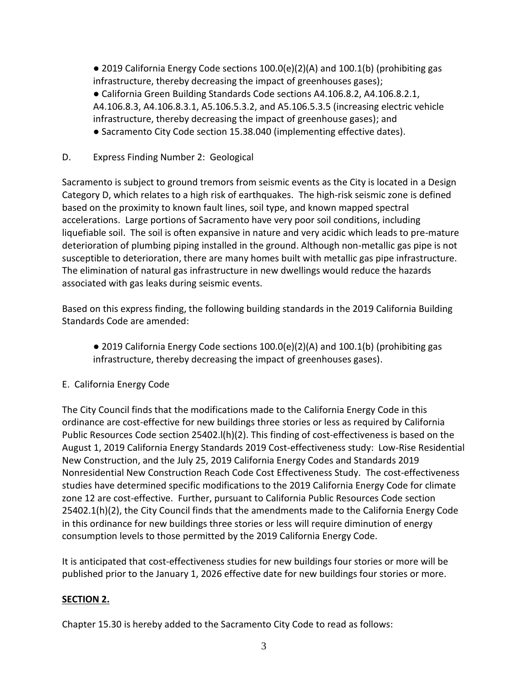$\bullet$  2019 California Energy Code sections 100.0(e)(2)(A) and 100.1(b) (prohibiting gas infrastructure, thereby decreasing the impact of greenhouses gases);

● California Green Building Standards Code sections A4.106.8.2, A4.106.8.2.1, A4.106.8.3, A4.106.8.3.1, A5.106.5.3.2, and A5.106.5.3.5 (increasing electric vehicle infrastructure, thereby decreasing the impact of greenhouse gases); and

- Sacramento City Code section 15.38.040 (implementing effective dates).
- D. Express Finding Number 2: Geological

Sacramento is subject to ground tremors from seismic events as the City is located in a Design Category D, which relates to a high risk of earthquakes. The high-risk seismic zone is defined based on the proximity to known fault lines, soil type, and known mapped spectral accelerations. Large portions of Sacramento have very poor soil conditions, including liquefiable soil. The soil is often expansive in nature and very acidic which leads to pre-mature deterioration of plumbing piping installed in the ground. Although non-metallic gas pipe is not susceptible to deterioration, there are many homes built with metallic gas pipe infrastructure. The elimination of natural gas infrastructure in new dwellings would reduce the hazards associated with gas leaks during seismic events.

Based on this express finding, the following building standards in the 2019 California Building Standards Code are amended:

- $\bullet$  2019 California Energy Code sections 100.0(e)(2)(A) and 100.1(b) (prohibiting gas infrastructure, thereby decreasing the impact of greenhouses gases).
- E. California Energy Code

The City Council finds that the modifications made to the California Energy Code in this ordinance are cost-effective for new buildings three stories or less as required by California Public Resources Code section 25402.l(h)(2). This finding of cost-effectiveness is based on the August 1, 2019 California Energy Standards 2019 Cost-effectiveness study: Low-Rise Residential New Construction, and the July 25, 2019 California Energy Codes and Standards 2019 Nonresidential New Construction Reach Code Cost Effectiveness Study. The cost-effectiveness studies have determined specific modifications to the 2019 California Energy Code for climate zone 12 are cost-effective. Further, pursuant to California Public Resources Code section 25402.1(h)(2), the City Council finds that the amendments made to the California Energy Code in this ordinance for new buildings three stories or less will require diminution of energy consumption levels to those permitted by the 2019 California Energy Code.

It is anticipated that cost-effectiveness studies for new buildings four stories or more will be published prior to the January 1, 2026 effective date for new buildings four stories or more.

## **SECTION 2.**

Chapter 15.30 is hereby added to the Sacramento City Code to read as follows: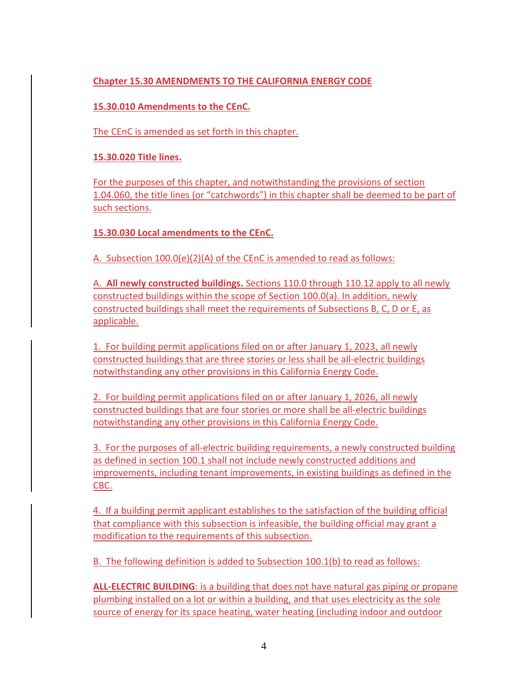## **Chapter 15.30 AMENDMENTS TO THE CALIFORNIA ENERGY CODE**

**15.30.010 Amendments to the CEnC.**

The CEnC is amended as set forth in this chapter.

**15.30.020 Title lines.**

For the purposes of this chapter, and notwithstanding the provisions of section 1.04.060, the title lines (or "catchwords") in this chapter shall be deemed to be part of such sections.

**15.30.030 Local amendments to the CEnC.**

A. Subsection 100.0(e)(2)(A) of the CEnC is amended to read as follows:

A. **All newly constructed buildings.** Sections 110.0 through 110.12 apply to all newly constructed buildings within the scope of Section 100.0(a). In addition, newly constructed buildings shall meet the requirements of Subsections B, C, D or E, as applicable.

1. For building permit applications filed on or after January 1, 2023, all newly constructed buildings that are three stories or less shall be all-electric buildings notwithstanding any other provisions in this California Energy Code.

2. For building permit applications filed on or after January 1, 2026, all newly constructed buildings that are four stories or more shall be all-electric buildings notwithstanding any other provisions in this California Energy Code.

3. For the purposes of all-electric building requirements, a newly constructed building as defined in section 100.1 shall not include newly constructed additions and improvements, including tenant improvements, in existing buildings as defined in the CBC.

4. If a building permit applicant establishes to the satisfaction of the building official that compliance with this subsection is infeasible, the building official may grant a modification to the requirements of this subsection.

B. The following definition is added to Subsection 100.1(b) to read as follows:

**ALL-ELECTRIC BUILDING**: is a building that does not have natural gas piping or propane plumbing installed on a lot or within a building, and that uses electricity as the sole source of energy for its space heating, water heating (including indoor and outdoor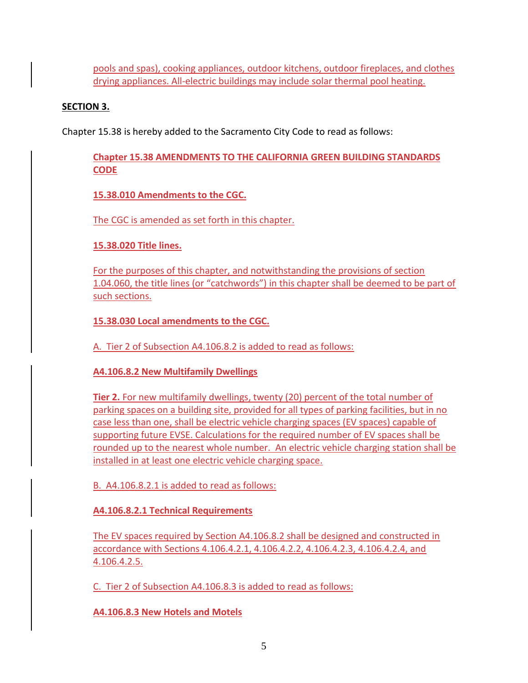pools and spas), cooking appliances, outdoor kitchens, outdoor fireplaces, and clothes drying appliances. All-electric buildings may include solar thermal pool heating.

# **SECTION 3.**

Chapter 15.38 is hereby added to the Sacramento City Code to read as follows:

**Chapter 15.38 AMENDMENTS TO THE CALIFORNIA GREEN BUILDING STANDARDS CODE** 

**15.38.010 Amendments to the CGC.**

The CGC is amended as set forth in this chapter.

**15.38.020 Title lines.**

For the purposes of this chapter, and notwithstanding the provisions of section 1.04.060, the title lines (or "catchwords") in this chapter shall be deemed to be part of such sections.

**15.38.030 Local amendments to the CGC.**

A. Tier 2 of Subsection A4.106.8.2 is added to read as follows:

**A4.106.8.2 New Multifamily Dwellings** 

**Tier 2.** For new multifamily dwellings, twenty (20) percent of the total number of parking spaces on a building site, provided for all types of parking facilities, but in no case less than one, shall be electric vehicle charging spaces (EV spaces) capable of supporting future EVSE. Calculations for the required number of EV spaces shall be rounded up to the nearest whole number. An electric vehicle charging station shall be installed in at least one electric vehicle charging space.

B. A4.106.8.2.1 is added to read as follows:

**A4.106.8.2.1 Technical Requirements**

The EV spaces required by Section A4.106.8.2 shall be designed and constructed in accordance with Sections 4.106.4.2.1, 4.106.4.2.2, 4.106.4.2.3, 4.106.4.2.4, and 4.106.4.2.5.

C. Tier 2 of Subsection A4.106.8.3 is added to read as follows:

**A4.106.8.3 New Hotels and Motels**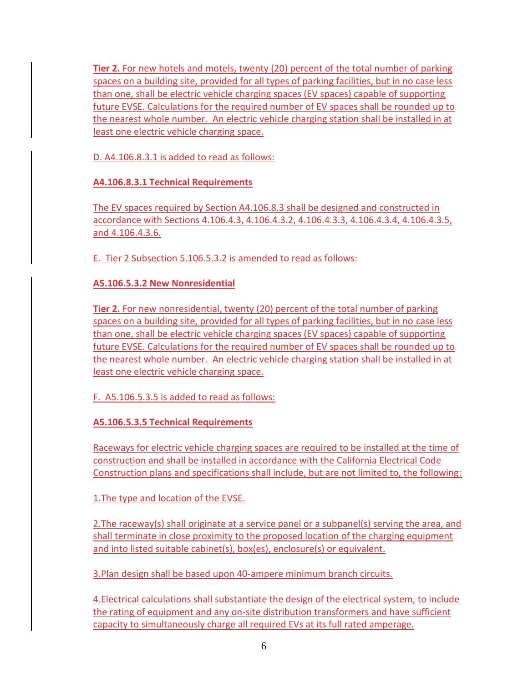**Tier 2.** For new hotels and motels, twenty (20) percent of the total number of parking spaces on a building site, provided for all types of parking facilities, but in no case less than one, shall be electric vehicle charging spaces (EV spaces) capable of supporting future EVSE. Calculations for the required number of EV spaces shall be rounded up to the nearest whole number. An electric vehicle charging station shall be installed in at least one electric vehicle charging space.

D. A4.106.8.3.1 is added to read as follows:

**A4.106.8.3.1 Technical Requirements**

The EV spaces required by Section A4.106.8.3 shall be designed and constructed in accordance with Sections 4.106.4.3, 4.106.4.3.2, 4.106.4.3.3, 4.106.4.3.4, 4.106.4.3.5, and 4.106.4.3.6.

E. Tier 2 Subsection 5.106.5.3.2 is amended to read as follows:

**A5.106.5.3.2 New Nonresidential**

**Tier 2.** For new nonresidential, twenty (20) percent of the total number of parking spaces on a building site, provided for all types of parking facilities, but in no case less than one, shall be electric vehicle charging spaces (EV spaces) capable of supporting future EVSE. Calculations for the required number of EV spaces shall be rounded up to the nearest whole number. An electric vehicle charging station shall be installed in at least one electric vehicle charging space.

F. A5.106.5.3.5 is added to read as follows:

**A5.106.5.3.5 Technical Requirements**

Raceways for electric vehicle charging spaces are required to be installed at the time of construction and shall be installed in accordance with the California Electrical Code Construction plans and specifications shall include, but are not limited to, the following:

1.The type and location of the EVSE.

2.The raceway(s) shall originate at a service panel or a subpanel(s) serving the area, and shall terminate in close proximity to the proposed location of the charging equipment and into listed suitable cabinet(s), box(es), enclosure(s) or equivalent.

3.Plan design shall be based upon 40-ampere minimum branch circuits.

4.Electrical calculations shall substantiate the design of the electrical system, to include the rating of equipment and any on-site distribution transformers and have sufficient capacity to simultaneously charge all required EVs at its full rated amperage.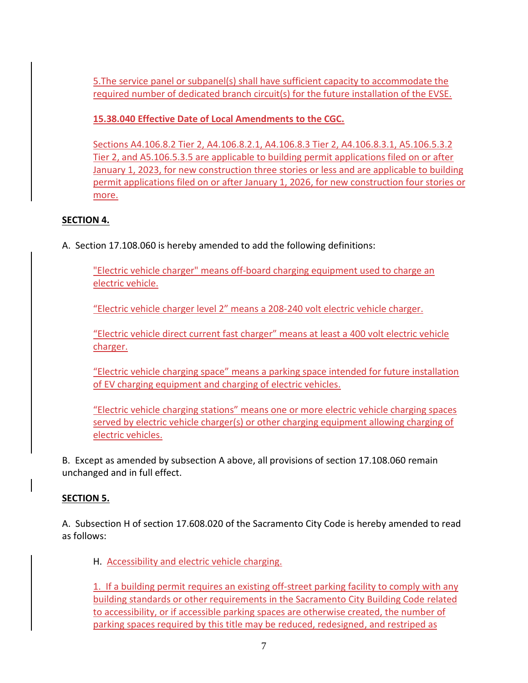5.The service panel or subpanel(s) shall have sufficient capacity to accommodate the required number of dedicated branch circuit(s) for the future installation of the EVSE.

**15.38.040 Effective Date of Local Amendments to the CGC.** 

Sections A4.106.8.2 Tier 2, A4.106.8.2.1, A4.106.8.3 Tier 2, A4.106.8.3.1, A5.106.5.3.2 Tier 2, and A5.106.5.3.5 are applicable to building permit applications filed on or after January 1, 2023, for new construction three stories or less and are applicable to building permit applications filed on or after January 1, 2026, for new construction four stories or more.

# **SECTION 4.**

A. Section 17.108.060 is hereby amended to add the following definitions:

"Electric vehicle charger" means off-board charging equipment used to charge an electric vehicle.

"Electric vehicle charger level 2" means a 208-240 volt electric vehicle charger.

"Electric vehicle direct current fast charger" means at least a 400 volt electric vehicle charger.

"Electric vehicle charging space" means a parking space intended for future installation of EV charging equipment and charging of electric vehicles.

"Electric vehicle charging stations" means one or more electric vehicle charging spaces served by electric vehicle charger(s) or other charging equipment allowing charging of electric vehicles.

B. Except as amended by subsection A above, all provisions of section 17.108.060 remain unchanged and in full effect.

# **SECTION 5.**

A. Subsection H of section 17.608.020 of the Sacramento City Code is hereby amended to read as follows:

H. Accessibility and electric vehicle charging.

1. If a building permit requires an existing off-street parking facility to comply with any building standards or other requirements in the Sacramento City Building Code related to accessibility, or if accessible parking spaces are otherwise created, the number of parking spaces required by this title may be reduced, redesigned, and restriped as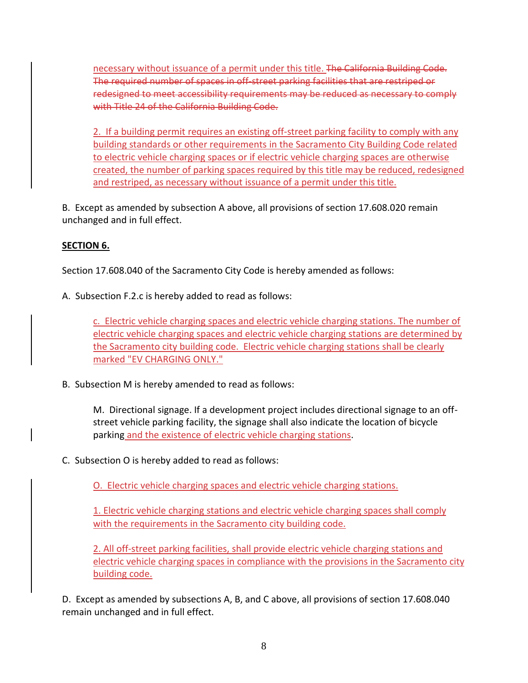necessary without issuance of a permit under this title. The California Building Code. The required number of spaces in off-street parking facilities that are restriped redesigned to meet accessibility requirements may be reduced as necessary to comply with Title 24 of the California Building Code.

2. If a building permit requires an existing off-street parking facility to comply with any building standards or other requirements in the Sacramento City Building Code related to electric vehicle charging spaces or if electric vehicle charging spaces are otherwise created, the number of parking spaces required by this title may be reduced, redesigned and restriped, as necessary without issuance of a permit under this title.

B. Except as amended by subsection A above, all provisions of section 17.608.020 remain unchanged and in full effect.

# **SECTION 6.**

Section 17.608.040 of the Sacramento City Code is hereby amended as follows:

A. Subsection F.2.c is hereby added to read as follows:

c. Electric vehicle charging spaces and electric vehicle charging stations. The number of electric vehicle charging spaces and electric vehicle charging stations are determined by the Sacramento city building code. Electric vehicle charging stations shall be clearly marked "EV CHARGING ONLY."

B. Subsection M is hereby amended to read as follows:

M. Directional signage. If a development project includes directional signage to an offstreet vehicle parking facility, the signage shall also indicate the location of bicycle parking and the existence of electric vehicle charging stations.

C. Subsection O is hereby added to read as follows:

O. Electric vehicle charging spaces and electric vehicle charging stations.

1. Electric vehicle charging stations and electric vehicle charging spaces shall comply with the requirements in the Sacramento city building code.

2. All off-street parking facilities, shall provide electric vehicle charging stations and electric vehicle charging spaces in compliance with the provisions in the Sacramento city building code.

D. Except as amended by subsections A, B, and C above, all provisions of section 17.608.040 remain unchanged and in full effect.